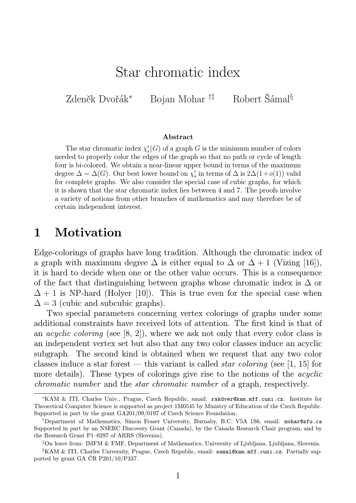# Star chromatic index

Zdeněk Dvořák<sup>∗</sup> Bojan Mohar †‡ Robert Šámal§

#### Abstract

The star chromatic index  $\chi'_{s}(G)$  of a graph G is the minimum number of colors needed to properly color the edges of the graph so that no path or cycle of length four is bi-colored. We obtain a near-linear upper bound in terms of the maximum degree  $\Delta = \Delta(G)$ . Our best lower bound on  $\chi'_{s}$  in terms of  $\Delta$  is  $2\Delta(1+o(1))$  valid for complete graphs. We also consider the special case of cubic graphs, for which it is shown that the star chromatic index lies between 4 and 7. The proofs involve a variety of notions from other branches of mathematics and may therefore be of certain independent interest.

#### 1 Motivation

Edge-colorings of graphs have long tradition. Although the chromatic index of a graph with maximum degree  $\Delta$  is either equal to  $\Delta$  or  $\Delta + 1$  (Vizing [16]), it is hard to decide when one or the other value occurs. This is a consequence of the fact that distinguishing between graphs whose chromatic index is  $\Delta$  or  $\Delta + 1$  is NP-hard (Holyer [10]). This is true even for the special case when  $\Delta = 3$  (cubic and subcubic graphs).

Two special parameters concerning vertex colorings of graphs under some additional constraints have received lots of attention. The first kind is that of an acyclic coloring (see [8, 2]), where we ask not only that every color class is an independent vertex set but also that any two color classes induce an acyclic subgraph. The second kind is obtained when we request that any two color classes induce a star forest — this variant is called *star coloring* (see [1, 15] for more details). These types of colorings give rise to the notions of the *acyclic* chromatic number and the star chromatic number of a graph, respectively.

<sup>∗</sup>KAM & ITI, Charles Univ., Prague, Czech Republic, email: rakdver@kam.mff.cuni.cz. Institute for Theoretical Computer Science is supported as project 1M0545 by Ministry of Education of the Czech Republic. Supported in part by the grant GA201/09/0197 of Czech Science Foundation.

<sup>†</sup>Department of Mathematics, Simon Fraser University, Burnaby, B.C. V5A 1S6, email: mohar@sfu.ca Supported in part by an NSERC Discovery Grant (Canada), by the Canada Research Chair program, and by the Research Grant P1–0297 of ARRS (Slovenia).

<sup>‡</sup>On leave from: IMFM & FMF, Department of Mathematics, University of Ljubljana, Ljubljana, Slovenia.

<sup>§</sup>KAM & ITI, Charles University, Prague, Czech Republic, email: samal@kam.mff.cuni.cz. Partially supported by grant GA ČR P201/10/P337.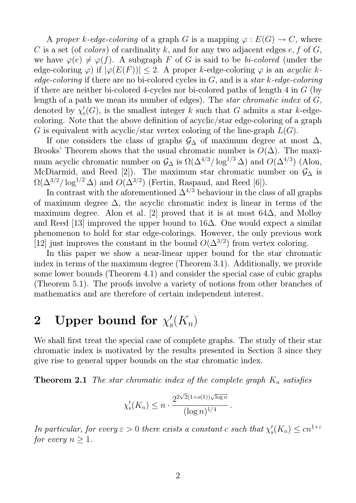A proper k-edge-coloring of a graph G is a mapping  $\varphi : E(G) \to C$ , where C is a set (of colors) of cardinality k, and for any two adjacent edges  $e, f$  of  $G$ , we have  $\varphi(e) \neq \varphi(f)$ . A subgraph F of G is said to be bi-colored (under the edge-coloring  $\varphi$ ) if  $|\varphi(E(F))|$  < 2. A proper k-edge-coloring  $\varphi$  is an acyclic kedge-coloring if there are no bi-colored cycles in  $G$ , and is a star k-edge-coloring if there are neither bi-colored 4-cycles nor bi-colored paths of length 4 in G (by length of a path we mean its number of edges). The *star chromatic index* of G, denoted by  $\chi'_{s}$  $S<sub>s</sub>(G)$ , is the smallest integer k such that G admits a star k-edgecoloring. Note that the above definition of acyclic/star edge-coloring of a graph G is equivalent with acyclic/star vertex coloring of the line-graph  $L(G)$ .

If one considers the class of graphs  $\mathcal{G}_{\Delta}$  of maximum degree at most  $\Delta$ , Brooks' Theorem shows that the usual chromatic number is  $O(\Delta)$ . The maximum acyclic chromatic number on  $\mathcal{G}_{\Delta}$  is  $\Omega(\Delta^{4/3}/\log^{1/3} \Delta)$  and  $O(\Delta^{4/3})$  (Alon, McDiarmid, and Reed [2]). The maximum star chromatic number on  $\mathcal{G}_{\Delta}$  is  $\Omega(\Delta^{3/2}/\log^{1/2}\Delta)$  and  $O(\Delta^{3/2})$  (Fertin, Raspaud, and Reed [6]).

In contrast with the aforementioned  $\Delta^{4/3}$  behaviour in the class of all graphs of maximum degree  $\Delta$ , the acyclic chromatic index is linear in terms of the maximum degree. Alon et al. [2] proved that it is at most  $64\Delta$ , and Molloy and Reed [13] improved the upper bound to 16∆. One would expect a similar phenomenon to hold for star edge-colorings. However, the only previous work [12] just improves the constant in the bound  $O(\Delta^{3/2})$  from vertex coloring.

In this paper we show a near-linear upper bound for the star chromatic index in terms of the maximum degree (Theorem 3.1). Additionally, we provide some lower bounds (Theorem 4.1) and consider the special case of cubic graphs (Theorem 5.1). The proofs involve a variety of notions from other branches of mathematics and are therefore of certain independent interest.

#### 2 Upper bound for  $\chi_8'$  $\zeta(K_n)$

We shall first treat the special case of complete graphs. The study of their star chromatic index is motivated by the results presented in Section 3 since they give rise to general upper bounds on the star chromatic index.

**Theorem 2.1** The star chromatic index of the complete graph  $K_n$  satisfies

$$
\chi'_{s}(K_n) \le n \cdot \frac{2^{2\sqrt{2}(1+o(1))\sqrt{\log n}}}{(\log n)^{1/4}}
$$

.

In particular, for every  $\varepsilon > 0$  there exists a constant c such that  $\chi'_{s}$  $S_{\rm s}(K_n) \leq c n^{1+\varepsilon}$ for every  $n \geq 1$ .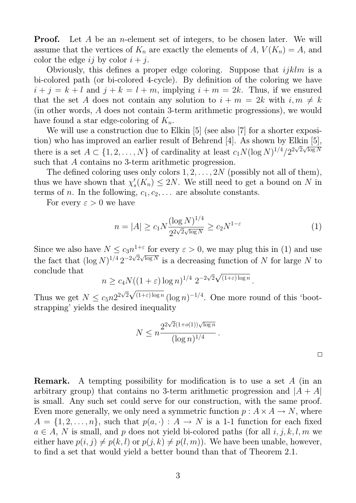**Proof.** Let A be an *n*-element set of integers, to be chosen later. We will assume that the vertices of  $K_n$  are exactly the elements of A,  $V(K_n) = A$ , and color the edge ij by color  $i + j$ .

Obviously, this defines a proper edge coloring. Suppose that  $ijklm$  is a bi-colored path (or bi-colored 4-cycle). By definition of the coloring we have  $i + j = k + l$  and  $j + k = l + m$ , implying  $i + m = 2k$ . Thus, if we ensured that the set A does not contain any solution to  $i + m = 2k$  with  $i, m \neq k$ (in other words, A does not contain 3-term arithmetic progressions), we would have found a star edge-coloring of  $K_n$ .

We will use a construction due to Elkin [5] (see also [7] for a shorter exposition) who has improved an earlier result of Behrend [4]. As shown by Elkin [5], there is a set  $A \subset \{1, 2, ..., N\}$  of cardinality at least  $c_1 N (\log N)^{1/4}/2^2$ √  $\frac{10}{2}$   $\sqrt{\log N}$ such that A contains no 3-term arithmetic progression.

The defined coloring uses only colors  $1, 2, ..., 2N$  (possibly not all of them), thus we have shown that  $\chi'$  $S<sub>s</sub>(K<sub>n</sub>) \leq 2N$ . We still need to get a bound on N in terms of *n*. In the following,  $c_1, c_2, \ldots$  are absolute constants.

For every  $\varepsilon > 0$  we have

$$
n = |A| \ge c_1 N \frac{(\log N)^{1/4}}{2^{2\sqrt{2}\sqrt{\log N}}} \ge c_2 N^{1-\varepsilon}
$$
 (1)

Since we also have  $N \leq c_3 n^{1+\varepsilon}$  for every  $\varepsilon > 0$ , we may plug this in (1) and use the fact that  $(\log N)^{1/4} 2^{-2\sqrt{2\sqrt{\log N}}}$  is a decreasing function of N for large N to conclude that √ √

$$
n \ge c_4 N((1+\varepsilon)\log n)^{1/4} 2^{-2\sqrt{2}\sqrt{(1+\varepsilon)\log n}}.
$$

Thus we get  $N \leq c_5 n 2^2$ 2  $(1+\varepsilon)\log n (\log n)^{-1/4}$ . One more round of this 'bootstrapping' yields the desired inequality

$$
N \leq n \frac{2^{2\sqrt{2}(1+o(1))\sqrt{\log n}}}{(\log n)^{1/4}}.
$$

Remark. A tempting possibility for modification is to use a set A (in an arbitrary group) that contains no 3-term arithmetic progression and  $|A + A|$ is small. Any such set could serve for our construction, with the same proof. Even more generally, we only need a symmetric function  $p: A \times A \rightarrow N$ , where  $A = \{1, 2, \ldots, n\}$ , such that  $p(a, \cdot) : A \to N$  is a 1-1 function for each fixed  $a \in A$ , N is small, and p does not yield bi-colored paths (for all i, j, k, l, m we either have  $p(i, j) \neq p(k, l)$  or  $p(j, k) \neq p(l, m)$ . We have been unable, however, to find a set that would yield a better bound than that of Theorem 2.1.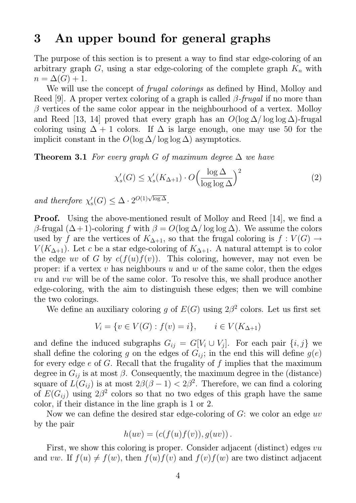### 3 An upper bound for general graphs

The purpose of this section is to present a way to find star edge-coloring of an arbitrary graph  $G$ , using a star edge-coloring of the complete graph  $K_n$  with  $n = \Delta(G) + 1.$ 

We will use the concept of *frugal colorings* as defined by Hind, Molloy and Reed [9]. A proper vertex coloring of a graph is called  $\beta$ -frugal if no more than  $\beta$  vertices of the same color appear in the neighbourhood of a vertex. Molloy and Reed [13, 14] proved that every graph has an  $O(\log \Delta/\log \log \Delta)$ -frugal coloring using  $\Delta + 1$  colors. If  $\Delta$  is large enough, one may use 50 for the implicit constant in the  $O(\log \Delta/\log \log \Delta)$  asymptotics.

**Theorem 3.1** For every graph G of maximum degree  $\Delta$  we have

$$
\chi_s'(G) \le \chi_s'(K_{\Delta+1}) \cdot O\left(\frac{\log \Delta}{\log \log \Delta}\right)^2 \tag{2}
$$

and therefore  $\chi'_{s}$  $S'_{\rm s}(G) \leq \Delta \cdot 2^{O(1)\sqrt{\log \Delta}}.$ 

**Proof.** Using the above-mentioned result of Molloy and Reed [14], we find a β-frugal  $(Δ+1)$ -coloring f with  $β = O(log Δ / log log Δ)$ . We assume the colors used by f are the vertices of  $K_{\Delta+1}$ , so that the frugal coloring is  $f: V(G) \rightarrow$  $V(K_{\Delta+1})$ . Let c be a star edge-coloring of  $K_{\Delta+1}$ . A natural attempt is to color the edge uv of G by  $c(f(u)f(v))$ . This coloring, however, may not even be proper: if a vertex v has neighbours u and w of the same color, then the edges vu and vw will be of the same color. To resolve this, we shall produce another edge-coloring, with the aim to distinguish these edges; then we will combine the two colorings.

We define an auxiliary coloring g of  $E(G)$  using  $2\beta^2$  colors. Let us first set

$$
V_i = \{ v \in V(G) : f(v) = i \}, \qquad i \in V(K_{\Delta + 1})
$$

and define the induced subgraphs  $G_{ij} = G[V_i \cup V_j]$ . For each pair  $\{i, j\}$  we shall define the coloring g on the edges of  $G_{ij}$ ; in the end this will define  $g(e)$ for every edge  $e$  of  $G$ . Recall that the frugality of  $f$  implies that the maximum degree in  $G_{ij}$  is at most  $\beta$ . Consequently, the maximum degree in the (distance) square of  $L(G_{ij})$  is at most  $2\beta(\beta-1) < 2\beta^2$ . Therefore, we can find a coloring of  $E(G_{ij})$  using  $2\beta^2$  colors so that no two edges of this graph have the same color, if their distance in the line graph is 1 or 2.

Now we can define the desired star edge-coloring of  $G$ : we color an edge  $uv$ by the pair

$$
h(uv) = (c(f(u)f(v)), g(uv)).
$$

First, we show this coloring is proper. Consider adjacent (distinct) edges vu and vw. If  $f(u) \neq f(w)$ , then  $f(u)f(v)$  and  $f(v)f(w)$  are two distinct adjacent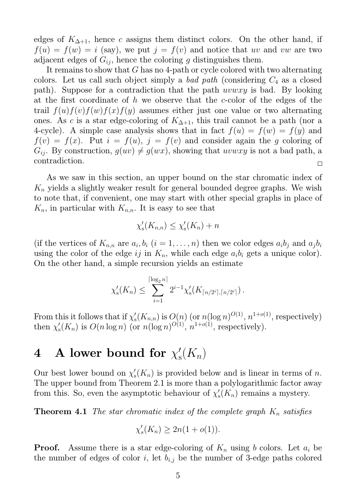edges of  $K_{\Delta+1}$ , hence c assigns them distinct colors. On the other hand, if  $f(u) = f(w) = i$  (say), we put  $j = f(v)$  and notice that uv and vw are two adjacent edges of  $G_{ij}$ , hence the coloring g distinguishes them.

It remains to show that G has no 4-path or cycle colored with two alternating colors. Let us call such object simply a *bad path* (considering  $C_4$  as a closed path). Suppose for a contradiction that the path *uvwxy* is bad. By looking at the first coordinate of h we observe that the c-color of the edges of the trail  $f(u)f(v)f(w)f(x)f(y)$  assumes either just one value or two alternating ones. As c is a star edge-coloring of  $K_{\Delta+1}$ , this trail cannot be a path (nor a 4-cycle). A simple case analysis shows that in fact  $f(u) = f(w) = f(y)$  and  $f(v) = f(x)$ . Put  $i = f(u)$ ,  $j = f(v)$  and consider again the g coloring of  $G_{ij}$ . By construction,  $g(uv) \neq g(wx)$ , showing that uvwxy is not a bad path, a contradiction.  $\Box$ 

As we saw in this section, an upper bound on the star chromatic index of  $K_n$  yields a slightly weaker result for general bounded degree graphs. We wish to note that, if convenient, one may start with other special graphs in place of  $K_n$ , in particular with  $K_{n,n}$ . It is easy to see that

$$
\chi'_{s}(K_{n,n}) \leq \chi'_{s}(K_{n}) + n
$$

(if the vertices of  $K_{n,n}$  are  $a_i, b_i$   $(i = 1, \ldots, n)$  then we color edges  $a_i b_j$  and  $a_j b_i$ using the color of the edge ij in  $K_n$ , while each edge  $a_i b_i$  gets a unique color). On the other hand, a simple recursion yields an estimate

$$
\chi'_{s}(K_{n}) \leq \sum_{i=1}^{\lceil \log_{2} n \rceil} 2^{i-1} \chi'_{s}(K_{\lceil n/2^{i} \rceil, \lceil n/2^{i} \rceil}).
$$

From this it follows that if  $\chi'_{s}$  $S_{\rm s}(K_{n,n})$  is  $O(n)$  (or  $n(\log n)^{O(1)}, n^{1+o(1)},$  respectively) then  $\chi'_{s}$  $S_{\rm s}(K_n)$  is  $O(n \log n)$  (or  $n(\log n)^{O(1)}$ ,  $n^{1+o(1)}$ , respectively).

#### 4 A lower bound for  $\chi_{\rm s}^{\prime}$  $\zeta(K_n)$

Our best lower bound on  $\chi'_{s}$  $S(K_n)$  is provided below and is linear in terms of n. The upper bound from Theorem 2.1 is more than a polylogarithmic factor away from this. So, even the asymptotic behaviour of  $\chi'_{s}$  $S_{\rm s}(K_n)$  remains a mystery.

**Theorem 4.1** The star chromatic index of the complete graph  $K_n$  satisfies

$$
\chi'_s(K_n) \geq 2n(1+o(1)).
$$

**Proof.** Assume there is a star edge-coloring of  $K_n$  using b colors. Let  $a_i$  be the number of edges of color i, let  $b_{i,j}$  be the number of 3-edge paths colored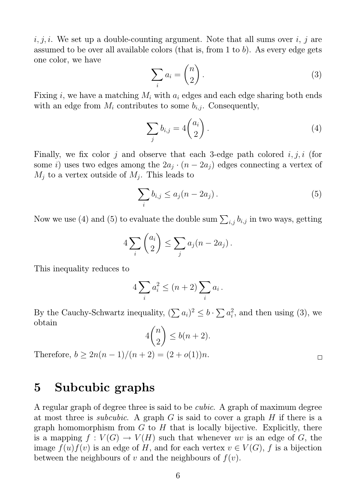$i, j, i$ . We set up a double-counting argument. Note that all sums over  $i, j$  are assumed to be over all available colors (that is, from 1 to  $b$ ). As every edge gets one color, we have

$$
\sum_{i} a_i = \binom{n}{2} \,. \tag{3}
$$

Fixing i, we have a matching  $M_i$  with  $a_i$  edges and each edge sharing both ends with an edge from  $M_i$  contributes to some  $b_{i,j}$ . Consequently,

$$
\sum_{j} b_{i,j} = 4 \binom{a_i}{2} \,. \tag{4}
$$

Finally, we fix color j and observe that each 3-edge path colored  $i, j, i$  (for some *i*) uses two edges among the  $2a_j \cdot (n - 2a_j)$  edges connecting a vertex of  $M_j$  to a vertex outside of  $M_j$ . This leads to

$$
\sum_{i} b_{i,j} \le a_j (n - 2a_j). \tag{5}
$$

Now we use (4) and (5) to evaluate the double sum  $\sum_{i,j} b_{i,j}$  in two ways, getting

$$
4\sum_{i} \binom{a_i}{2} \leq \sum_{j} a_j (n - 2a_j).
$$

This inequality reduces to

$$
4\sum_{i} a_i^2 \le (n+2)\sum_{i} a_i \, .
$$

By the Cauchy-Schwartz inequality,  $(\sum a_i)^2 \leq b \cdot \sum a_i^2$  $i<sub>i</sub><sup>2</sup>$ , and then using (3), we obtain

$$
4\binom{n}{2} \le b(n+2).
$$

Therefore,  $b \geq 2n(n-1)/(n+2) = (2+o(1))n$ .

 $\Box$ 

#### 5 Subcubic graphs

A regular graph of degree three is said to be cubic. A graph of maximum degree at most three is *subcubic*. A graph G is said to cover a graph H if there is a graph homomorphism from  $G$  to  $H$  that is locally bijective. Explicitly, there is a mapping  $f: V(G) \to V(H)$  such that whenever uv is an edge of G, the image  $f(u) f(v)$  is an edge of H, and for each vertex  $v \in V(G)$ , f is a bijection between the neighbours of v and the neighbours of  $f(v)$ .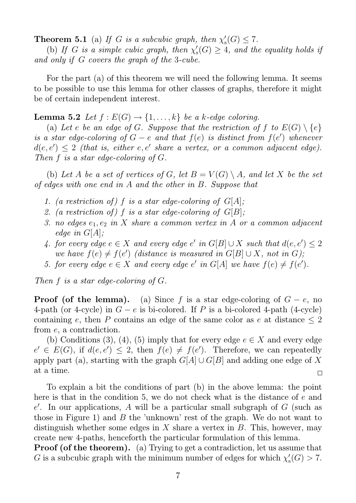**Theorem 5.1** (a) If G is a subcubic graph, then  $\chi'_{s}$  $S'_{\rm s}(G) \leq 7.$ 

(b) If G is a simple cubic graph, then  $\chi'_{s}$  $S'_{\rm s}(G) \geq 4$ , and the equality holds if and only if G covers the graph of the 3-cube.

For the part (a) of this theorem we will need the following lemma. It seems to be possible to use this lemma for other classes of graphs, therefore it might be of certain independent interest.

**Lemma 5.2** Let  $f : E(G) \rightarrow \{1, \ldots, k\}$  be a k-edge coloring.

(a) Let e be an edge of G. Suppose that the restriction of f to  $E(G) \setminus \{e\}$ is a star edge-coloring of  $G - e$  and that  $f(e)$  is distinct from  $f(e')$  whenever  $d(e, e') \leq 2$  (that is, either e, e' share a vertex, or a common adjacent edge). Then  $f$  is a star edge-coloring of  $G$ .

(b) Let A be a set of vertices of G, let  $B = V(G) \setminus A$ , and let X be the set of edges with one end in A and the other in B. Suppose that

- 1. (a restriction of) f is a star edge-coloring of  $G[A]$ ;
- 2. (a restriction of) f is a star edge-coloring of  $G[B]$ ;
- 3. no edges  $e_1, e_2$  in X share a common vertex in A or a common adjacent edge in  $G[A]$ ;
- 4. for every edge  $e \in X$  and every edge  $e'$  in  $G[B] \cup X$  such that  $d(e, e') \leq 2$ we have  $f(e) \neq f(e')$  (distance is measured in  $G[B] \cup X$ , not in G);
- 5. for every edge  $e \in X$  and every edge e' in  $G[A]$  we have  $f(e) \neq f(e')$ .

Then f is a star edge-coloring of G.

**Proof (of the lemma).** (a) Since f is a star edge-coloring of  $G - e$ , no 4-path (or 4-cycle) in  $G - e$  is bi-colored. If P is a bi-colored 4-path (4-cycle) containing e, then P contains an edge of the same color as e at distance  $\leq 2$ from e, a contradiction.

(b) Conditions (3), (4), (5) imply that for every edge  $e \in X$  and every edge  $e' \in E(G)$ , if  $d(e, e') \leq 2$ , then  $f(e) \neq f(e')$ . Therefore, we can repeatedly apply part (a), starting with the graph  $G[A] \cup G[B]$  and adding one edge of X at a time.  $\Box$ 

To explain a bit the conditions of part (b) in the above lemma: the point here is that in the condition 5, we do not check what is the distance of e and  $e'$ . In our applications, A will be a particular small subgraph of G (such as those in Figure 1) and  $B$  the 'unknown' rest of the graph. We do not want to distinguish whether some edges in X share a vertex in  $B$ . This, however, may create new 4-paths, henceforth the particular formulation of this lemma.

Proof (of the theorem). (a) Trying to get a contradiction, let us assume that G is a subcubic graph with the minimum number of edges for which  $\chi'_{s}$  $'_{\rm s}(G) > 7.$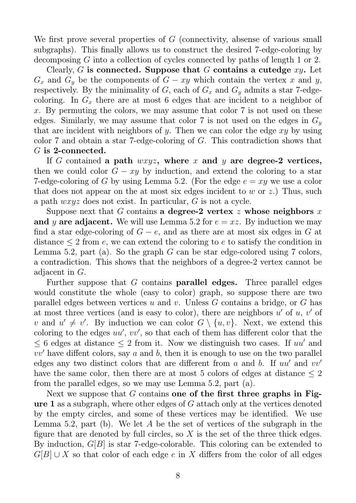We first prove several properties of  $G$  (connectivity, absense of various small subgraphs). This finally allows us to construct the desired 7-edge-coloring by decomposing G into a collection of cycles connected by paths of length 1 or 2.

Clearly, G is connected. Suppose that G contains a cutedge  $xy$ . Let  $G_x$  and  $G_y$  be the components of  $G - xy$  which contain the vertex x and y, respectively. By the minimality of  $G$ , each of  $G_x$  and  $G_y$  admits a star 7-edgecoloring. In  $G_x$  there are at most 6 edges that are incident to a neighbor of x. By permuting the colors, we may assume that color  $7$  is not used on these edges. Similarly, we may assume that color 7 is not used on the edges in  $G_y$ that are incident with neighbors of y. Then we can color the edge  $xy$  by using color 7 and obtain a star 7-edge-coloring of G. This contradiction shows that G is 2-connected.

If G contained a path  $wxyz$ , where x and y are degree-2 vertices, then we could color  $G - xy$  by induction, and extend the coloring to a star 7-edge-coloring of G by using Lemma 5.2. (For the edge  $e = xy$  we use a color that does not appear on the at most six edges incident to  $w$  or  $z$ .) Thus, such a path wxyz does not exist. In particular, G is not a cycle.

Suppose next that G contains a degree-2 vertex z whose neighbors x and y are adjacent. We will use Lemma 5.2 for  $e = xz$ . By induction we may find a star edge-coloring of  $G - e$ , and as there are at most six edges in G at distance  $\leq 2$  from e, we can extend the coloring to e to satisfy the condition in Lemma 5.2, part (a). So the graph  $G$  can be star edge-colored using 7 colors, a contradiction. This shows that the neighbors of a degree-2 vertex cannot be adjacent in G.

Further suppose that  $G$  contains **parallel edges.** Three parallel edges would constitute the whole (easy to color) graph, so suppose there are two parallel edges between vertices u and v. Unless  $G$  contains a bridge, or  $G$  has at most three vertices (and is easy to color), there are neighbors  $u'$  of  $u, v'$  of v and  $u' \neq v'$ . By induction we can color  $G \setminus \{u, v\}$ . Next, we extend this coloring to the edges  $uu', vv'$ , so that each of them has different color that the  $\leq 6$  edges at distance  $\leq 2$  from it. Now we distinguish two cases. If uu' and  $vv'$  have diffent colors, say a and b, then it is enough to use on the two parallel edges any two distinct colors that are different from a and b. If  $uu'$  and  $vv'$ have the same color, then there are at most 5 colors of edges at distance  $\leq 2$ from the parallel edges, so we may use Lemma 5.2, part (a).

Next we suppose that  $G$  contains one of the first three graphs in Figure 1 as a subgraph, where other edges of G attach only at the vertices denoted by the empty circles, and some of these vertices may be identified. We use Lemma 5.2, part (b). We let A be the set of vertices of the subgraph in the figure that are denoted by full circles, so  $X$  is the set of the three thick edges. By induction,  $G[B]$  is star 7-edge-colorable. This coloring can be extended to  $G[B] \cup X$  so that color of each edge e in X differs from the color of all edges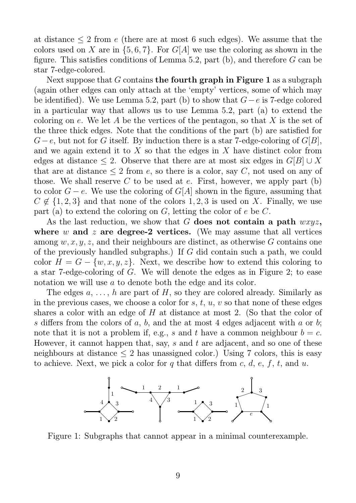at distance  $\leq 2$  from e (there are at most 6 such edges). We assume that the colors used on X are in  $\{5, 6, 7\}$ . For  $G[A]$  we use the coloring as shown in the figure. This satisfies conditions of Lemma 5.2, part (b), and therefore G can be star 7-edge-colored.

Next suppose that G contains the fourth graph in Figure 1 as a subgraph (again other edges can only attach at the 'empty' vertices, some of which may be identified). We use Lemma 5.2, part (b) to show that  $G-e$  is 7-edge colored in a particular way that allows us to use Lemma 5.2, part (a) to extend the coloring on e. We let A be the vertices of the pentagon, so that X is the set of the three thick edges. Note that the conditions of the part (b) are satisfied for  $G-e$ , but not for G itself. By induction there is a star 7-edge-coloring of  $G[B]$ , and we again extend it to  $X$  so that the edges in  $X$  have distinct color from edges at distance  $\leq 2$ . Observe that there are at most six edges in  $G[B] \cup X$ that are at distance  $\leq 2$  from e, so there is a color, say C, not used on any of those. We shall reserve  $C$  to be used at  $e$ . First, however, we apply part (b) to color  $G - e$ . We use the coloring of  $G[A]$  shown in the figure, assuming that  $C \notin \{1, 2, 3\}$  and that none of the colors 1, 2, 3 is used on X. Finally, we use part (a) to extend the coloring on  $G$ , letting the color of  $e$  be  $C$ .

As the last reduction, we show that G does not contain a path  $wxyz$ , where w and z are degree-2 vertices. (We may assume that all vertices among  $w, x, y, z$ , and their neighbours are distinct, as otherwise G contains one of the previously handled subgraphs.) If G did contain such a path, we could color  $H = G - \{w, x, y, z\}$ . Next, we describe how to extend this coloring to a star 7-edge-coloring of G. We will denote the edges as in Figure 2; to ease notation we will use a to denote both the edge and its color.

The edges  $a, \ldots, h$  are part of H, so they are colored already. Similarly as in the previous cases, we choose a color for  $s, t, u, v$  so that none of these edges shares a color with an edge of H at distance at most 2. (So that the color of s differs from the colors of a, b, and the at most 4 edges adjacent with a or b; note that it is not a problem if, e.g., s and t have a common neighbour  $b = c$ . However, it cannot happen that, say, s and t are adjacent, and so one of these neighbours at distance  $\leq 2$  has unassigned color.) Using 7 colors, this is easy to achieve. Next, we pick a color for q that differs from c, d, e, f, t, and u.



Figure 1: Subgraphs that cannot appear in a minimal counterexample.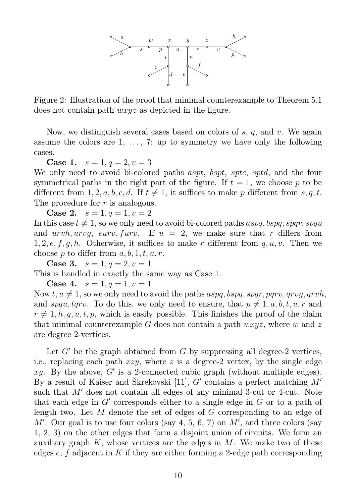

Figure 2: Illustration of the proof that minimal counterexample to Theorem 5.1 does not contain path wxyz as depicted in the figure.

Now, we distinguish several cases based on colors of  $s, q$ , and  $v$ . We again assume the colors are  $1, \ldots, 7$ ; up to symmetry we have only the following cases.

**Case 1.**  $s = 1, q = 2, v = 3$ 

We only need to avoid bi-colored paths *aspt*, *bspt*, *sptc*, *sptd*, and the four symmetrical paths in the right part of the figure. If  $t = 1$ , we choose p to be different from 1, 2, a, b, c, d. If  $t \neq 1$ , it suffices to make p different from s, q, t. The procedure for r is analogous.

**Case 2.**  $s = 1, q = 1, v = 2$ 

In this case  $t \neq 1$ , so we only need to avoid bi-colored paths aspq, bspq, spqr, spqu and urvh, urvg, eurv, furv. If  $u = 2$ , we make sure that r differs from 1, 2, e, f, g, h. Otherwise, it suffices to make r different from  $q, u, v$ . Then we choose p to differ from  $a, b, 1, t, u, r$ .

**Case 3.**  $s = 1, q = 2, v = 1$ This is handled in exactly the same way as Case 1.

**Case 4.**  $s = 1, q = 1, v = 1$ 

Now t,  $u \neq 1$ , so we only need to avoid the paths aspq, bspq, spqr, pqrv, qrvq, qrvh, and spqu, tqrv. To do this, we only need to ensure, that  $p \neq 1, a, b, t, u, r$  and  $r \neq 1, h, q, u, t, p$ , which is easily possible. This finishes the proof of the claim that minimal counterexample G does not contain a path  $wxyz$ , where w and z are degree 2-vertices.

Let  $G'$  be the graph obtained from G by suppressing all degree-2 vertices, i.e., replacing each path  $xzy$ , where z is a degree-2 vertex, by the single edge xy. By the above,  $G'$  is a 2-connected cubic graph (without multiple edges). By a result of Kaiser and Škrekovski [11],  $G'$  contains a perfect matching  $\dot{M}'$ such that  $M'$  does not contain all edges of any minimal 3-cut or 4-cut. Note that each edge in  $G'$  corresponds either to a single edge in  $G$  or to a path of length two. Let M denote the set of edges of G corresponding to an edge of  $M'$ . Our goal is to use four colors (say 4, 5, 6, 7) on  $M'$ , and three colors (say 1, 2, 3) on the other edges that form a disjoint union of circuits. We form an auxiliary graph  $K$ , whose vertices are the edges in  $M$ . We make two of these edges  $e, f$  adjacent in K if they are either forming a 2-edge path corresponding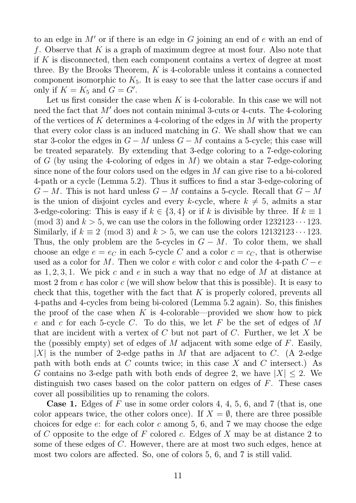to an edge in  $M'$  or if there is an edge in G joining an end of e with an end of f. Observe that K is a graph of maximum degree at most four. Also note that if K is disconnected, then each component contains a vertex of degree at most three. By the Brooks Theorem, K is 4-colorable unless it contains a connected component isomorphic to  $K_5$ . It is easy to see that the latter case occurs if and only if  $K = K_5$  and  $G = G'$ .

Let us first consider the case when  $K$  is 4-colorable. In this case we will not need the fact that  $M'$  does not contain minimal 3-cuts or 4-cuts. The 4-coloring of the vertices of K determines a 4-coloring of the edges in M with the property that every color class is an induced matching in G. We shall show that we can star 3-color the edges in  $G - M$  unless  $G - M$  contains a 5-cycle; this case will be treated separately. By extending that 3-edge coloring to a 7-edge-coloring of G (by using the 4-coloring of edges in M) we obtain a star 7-edge-coloring since none of the four colors used on the edges in M can give rise to a bi-colored 4-path or a cycle (Lemma 5.2). Thus it suffices to find a star 3-edge-coloring of  $G - M$ . This is not hard unless  $G - M$  contains a 5-cycle. Recall that  $G - M$ is the union of disjoint cycles and every k-cycle, where  $k \neq 5$ , admits a star 3-edge-coloring: This is easy if  $k \in \{3, 4\}$  or if k is divisible by three. If  $k \equiv 1$ (mod 3) and  $k > 5$ , we can use the colors in the following order  $1232123 \cdots 123$ . Similarly, if  $k \equiv 2 \pmod{3}$  and  $k > 5$ , we can use the colors  $12132123 \cdots 123$ . Thus, the only problem are the 5-cycles in  $G - M$ . To color them, we shall choose an edge  $e = e_C$  in each 5-cycle C and a color  $c = c_C$ , that is otherwise used as a color for M. Then we color e with color c and color the 4-path  $C - e$ as  $1, 2, 3, 1$ . We pick c and e in such a way that no edge of M at distance at most 2 from  $e$  has color  $c$  (we will show below that this is possible). It is easy to check that this, together with the fact that K is properly colored, prevents all 4-paths and 4-cycles from being bi-colored (Lemma 5.2 again). So, this finishes the proof of the case when  $K$  is 4-colorable—provided we show how to pick e and c for each 5-cycle C. To do this, we let F be the set of edges of M that are incident with a vertex of  $C$  but not part of  $C$ . Further, we let  $X$  be the (possibly empty) set of edges of M adjacent with some edge of  $F$ . Easily, |X| is the number of 2-edge paths in M that are adjacent to C. (A 2-edge path with both ends at C counts twice; in this case X and C intersect.) As G contains no 3-edge path with both ends of degree 2, we have  $|X| \leq 2$ . We distinguish two cases based on the color pattern on edges of F. These cases cover all possibilities up to renaming the colors.

**Case 1.** Edges of F use in some order colors 4, 4, 5, 6, and 7 (that is, one color appears twice, the other colors once). If  $X = \emptyset$ , there are three possible choices for edge  $e$ : for each color  $c$  among 5, 6, and 7 we may choose the edge of C opposite to the edge of F colored c. Edges of X may be at distance 2 to some of these edges of C. However, there are at most two such edges, hence at most two colors are affected. So, one of colors 5, 6, and 7 is still valid.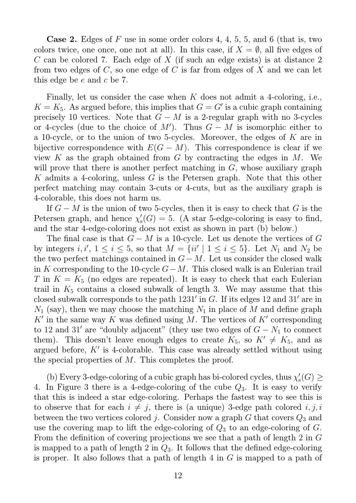**Case 2.** Edges of  $F$  use in some order colors 4, 4, 5, 5, and 6 (that is, two colors twice, one once, one not at all). In this case, if  $X = \emptyset$ , all five edges of C can be colored 7. Each edge of X (if such an edge exists) is at distance 2 from two edges of  $C$ , so one edge of  $C$  is far from edges of  $X$  and we can let this edge be e and c be 7.

Finally, let us consider the case when  $K$  does not admit a 4-coloring, i.e.,  $K = K_5$ . As argued before, this implies that  $G = G'$  is a cubic graph containing precisely 10 vertices. Note that  $G - M$  is a 2-regular graph with no 3-cycles or 4-cycles (due to the choice of  $M'$ ). Thus  $G - M$  is isomorphic either to a 10-cycle, or to the union of two 5-cycles. Moreover, the edges of K are in bijective correspondence with  $E(G - M)$ . This correspondence is clear if we view K as the graph obtained from G by contracting the edges in  $M$ . We will prove that there is another perfect matching in  $G$ , whose auxiliary graph K admits a 4-coloring, unless G is the Petersen graph. Note that this other perfect matching may contain 3-cuts or 4-cuts, but as the auxiliary graph is 4-colorable, this does not harm us.

If  $G - M$  is the union of two 5-cycles, then it is easy to check that G is the Petersen graph, and hence  $\chi'_{s}$  $S_{\rm s}'(G) = 5.$  (A star 5-edge-coloring is easy to find, and the star 4-edge-coloring does not exist as shown in part (b) below.)

The final case is that  $G - M$  is a 10-cycle. Let us denote the vertices of G by integers  $i, i', 1 \le i \le 5$ , so that  $M = \{ii' \mid 1 \le i \le 5\}$ . Let  $N_1$  and  $N_2$  be the two perfect matchings contained in  $G-M$ . Let us consider the closed walk in K corresponding to the 10-cycle  $G-M$ . This closed walk is an Eulerian trail T in  $K = K_5$  (no edges are repeated). It is easy to check that each Eulerian trail in  $K_5$  contains a closed subwalk of length 3. We may assume that this closed subwalk corresponds to the path  $1231'$  in G. If its edges 12 and  $31'$  are in  $N_1$  (say), then we may choose the matching  $N_1$  in place of M and define graph  $K'$  in the same way K was defined using M. The vertices of  $K'$  corresponding to 12 and 31' are "doubly adjacent" (they use two edges of  $G - N_1$  to connect them). This doesn't leave enough edges to create  $K_5$ , so  $K' \neq K_5$ , and as argued before,  $K'$  is 4-colorable. This case was already settled without using the special properties of M. This completes the proof.

(b) Every 3-edge-coloring of a cubic graph has bi-colored cycles, thus  $\chi'_{s}$  $\mathcal{L}'_s(G) \geq$ 4. In Figure 3 there is a 4-edge-coloring of the cube  $Q_3$ . It is easy to verify that this is indeed a star edge-coloring. Perhaps the fastest way to see this is to observe that for each  $i \neq j$ , there is (a unique) 3-edge path colored i, j, i between the two vertices colored j. Consider now a graph  $G$  that covers  $Q_3$  and use the covering map to lift the edge-coloring of  $Q_3$  to an edge-coloring of  $G$ . From the definition of covering projections we see that a path of length 2 in G is mapped to a path of length 2 in  $Q_3$ . It follows that the defined edge-coloring is proper. It also follows that a path of length 4 in G is mapped to a path of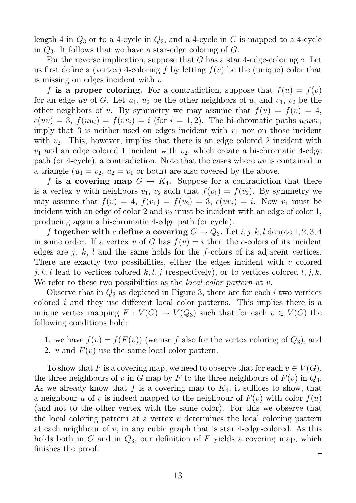length 4 in  $Q_3$  or to a 4-cycle in  $Q_3$ , and a 4-cycle in G is mapped to a 4-cycle in  $Q_3$ . It follows that we have a star-edge coloring of  $G$ .

For the reverse implication, suppose that  $G$  has a star 4-edge-coloring  $c$ . Let us first define a (vertex) 4-coloring f by letting  $f(v)$  be the (unique) color that is missing on edges incident with  $v$ .

f is a proper coloring. For a contradiction, suppose that  $f(u) = f(v)$ for an edge uv of G. Let  $u_1, u_2$  be the other neighbors of u, and  $v_1, v_2$  be the other neighbors of v. By symmetry we may assume that  $f(u) = f(v) = 4$ ,  $c(uv) = 3$ ,  $f(uu_i) = f(vv_i) = i$  (for  $i = 1, 2$ ). The bi-chromatic paths  $u_i u v v_i$ imply that 3 is neither used on edges incident with  $v_1$  nor on those incident with  $v_2$ . This, however, implies that there is an edge colored 2 incident with  $v_1$  and an edge colored 1 incident with  $v_2$ , which create a bi-chromatic 4-edge path (or 4-cycle), a contradiction. Note that the cases where uv is contained in a triangle  $(u_1 = v_2, u_2 = v_1$  or both) are also covered by the above.

f is a covering map  $G \to K_4$ . Suppose for a contradiction that there is a vertex v with neighbors  $v_1$ ,  $v_2$  such that  $f(v_1) = f(v_2)$ . By symmetry we may assume that  $f(v) = 4$ ,  $f(v_1) = f(v_2) = 3$ ,  $c(vv_i) = i$ . Now  $v_1$  must be incident with an edge of color 2 and  $v_2$  must be incident with an edge of color 1, producing again a bi-chromatic 4-edge path (or cycle).

f together with c define a covering  $G \to Q_3$ . Let i, j, k, l denote 1, 2, 3, 4 in some order. If a vertex v of G has  $f(v) = i$  then the c-colors of its incident edges are j, k, l and the same holds for the f-colors of its adjacent vertices. There are exactly two possibilities, either the edges incident with  $v$  colored j, k, l lead to vertices colored k, l, j (respectively), or to vertices colored l, j, k. We refer to these two possibilities as the *local color pattern* at  $v$ .

Observe that in  $Q_3$  as depicted in Figure 3, there are for each i two vertices colored i and they use different local color patterns. This implies there is a unique vertex mapping  $F: V(G) \to V(Q_3)$  such that for each  $v \in V(G)$  the following conditions hold:

- 1. we have  $f(v) = f(F(v))$  (we use f also for the vertex coloring of  $Q_3$ ), and
- 2. v and  $F(v)$  use the same local color pattern.

To show that F is a covering map, we need to observe that for each  $v \in V(G)$ , the three neighbours of v in G map by F to the three neighbours of  $F(v)$  in  $Q_3$ . As we already know that f is a covering map to  $K_4$ , it suffices to show, that a neighbour u of v is indeed mapped to the neighbour of  $F(v)$  with color  $f(u)$ (and not to the other vertex with the same color). For this we observe that the local coloring pattern at a vertex  $v$  determines the local coloring pattern at each neighbour of  $v$ , in any cubic graph that is star 4-edge-colored. As this holds both in  $G$  and in  $Q_3$ , our definition of  $F$  yields a covering map, which finishes the proof.  $\Box$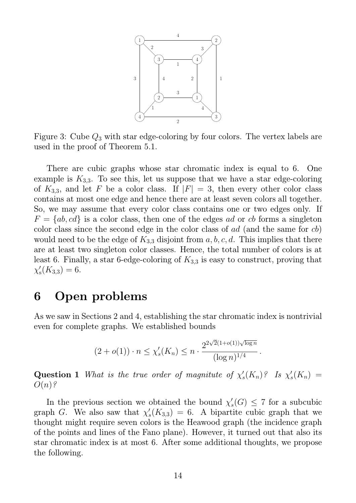

Figure 3: Cube  $Q_3$  with star edge-coloring by four colors. The vertex labels are used in the proof of Theorem 5.1.

There are cubic graphs whose star chromatic index is equal to 6. One example is  $K_{3,3}$ . To see this, let us suppose that we have a star edge-coloring of  $K_{3,3}$ , and let F be a color class. If  $|F| = 3$ , then every other color class contains at most one edge and hence there are at least seven colors all together. So, we may assume that every color class contains one or two edges only. If  $F = \{ab, cd\}$  is a color class, then one of the edges ad or cb forms a singleton color class since the second edge in the color class of ad (and the same for cb) would need to be the edge of  $K_{3,3}$  disjoint from  $a, b, c, d$ . This implies that there are at least two singleton color classes. Hence, the total number of colors is at least 6. Finally, a star 6-edge-coloring of  $K_{3,3}$  is easy to construct, proving that  $\chi_{s}^{\prime}$  $'_{s}(K_{3,3})=6.$ 

### 6 Open problems

As we saw in Sections 2 and 4, establishing the star chromatic index is nontrivial even for complete graphs. We established bounds

$$
(2+o(1)) \cdot n \le \chi'_s(K_n) \le n \cdot \frac{2^{2\sqrt{2}(1+o(1))\sqrt{\log n}}}{(\log n)^{1/4}}.
$$

**Question 1** What is the true order of magnitute of  $\chi'$  $\chi'_s(K_n)$ ? Is  $\chi'_s$  $\zeta(K_n) =$  $O(n)$ ?

In the previous section we obtained the bound  $\chi'$  $S'_s(G) \leq 7$  for a subcubic graph G. We also saw that  $\chi'$  $S<sub>s</sub>(K<sub>3,3</sub>) = 6$ . A bipartite cubic graph that we thought might require seven colors is the Heawood graph (the incidence graph of the points and lines of the Fano plane). However, it turned out that also its star chromatic index is at most 6. After some additional thoughts, we propose the following.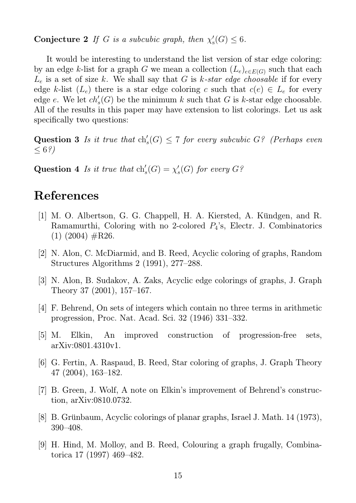Conjecture 2 If G is a subcubic graph, then  $\chi'_{s}$  $\mathcal{L}'_{\mathrm{s}}(G) \leq 6.$ 

It would be interesting to understand the list version of star edge coloring: by an edge k-list for a graph G we mean a collection  $(L_e)_{e \in E(G)}$  such that each  $L_e$  is a set of size k. We shall say that G is k-star edge choosable if for every edge k-list  $(L_e)$  there is a star edge coloring c such that  $c(e) \in L_e$  for every edge e. We let  $ch'_s(G)$  be the minimum k such that G is k-star edge choosable. All of the results in this paper may have extension to list colorings. Let us ask specifically two questions:

**Question 3** Is it true that  $\text{ch}'_s(G) \leq 7$  for every subcubic  $G$ ? (Perhaps even  $\leq 6\sqrt[2]{ }$ 

Question 4 Is it true that  $\text{ch}'_s(G) = \chi'_s$  $\mathcal{C}_s(G)$  for every  $G$ ?

## References

- [1] M. O. Albertson, G. G. Chappell, H. A. Kiersted, A. Kündgen, and R. Ramamurthi, Coloring with no 2-colored  $P_4$ 's, Electr. J. Combinatorics  $(1)$   $(2004)$   $\#R26$ .
- [2] N. Alon, C. McDiarmid, and B. Reed, Acyclic coloring of graphs, Random Structures Algorithms 2 (1991), 277–288.
- [3] N. Alon, B. Sudakov, A. Zaks, Acyclic edge colorings of graphs, J. Graph Theory 37 (2001), 157–167.
- [4] F. Behrend, On sets of integers which contain no three terms in arithmetic progression, Proc. Nat. Acad. Sci. 32 (1946) 331–332.
- [5] M. Elkin, An improved construction of progression-free sets, arXiv:0801.4310v1.
- [6] G. Fertin, A. Raspaud, B. Reed, Star coloring of graphs, J. Graph Theory 47 (2004), 163–182.
- [7] B. Green, J. Wolf, A note on Elkin's improvement of Behrend's construction, arXiv:0810.0732.
- [8] B. Grünbaum, Acyclic colorings of planar graphs, Israel J. Math. 14 (1973), 390–408.
- [9] H. Hind, M. Molloy, and B. Reed, Colouring a graph frugally, Combinatorica 17 (1997) 469–482.